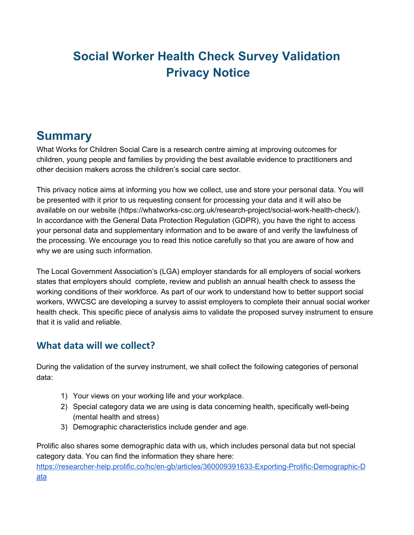# **Social Worker Health Check Survey Validation Privacy Notice**

## **Summary**

What Works for Children Social Care is a research centre aiming at improving outcomes for children, young people and families by providing the best available evidence to practitioners and other decision makers across the children's social care sector.

This privacy notice aims at informing you how we collect, use and store your personal data. You will be presented with it prior to us requesting consent for processing your data and it will also be available on our website (https://whatworks-csc.org.uk/research-project/social-work-health-check/). In accordance with the General Data Protection Regulation (GDPR), you have the right to access your personal data and supplementary information and to be aware of and verify the lawfulness of the processing. We encourage you to read this notice carefully so that you are aware of how and why we are using such information.

The Local Government Association's (LGA) employer standards for all employers of social workers states that employers should complete, review and publish an annual health check to assess the working conditions of their workforce. As part of our work to understand how to better support social workers, WWCSC are developing a survey to assist employers to complete their annual social worker health check. This specific piece of analysis aims to validate the proposed survey instrument to ensure that it is valid and reliable.

#### **What data will we collect?**

During the validation of the survey instrument, we shall collect the following categories of personal data:

- 1) Your views on your working life and your workplace.
- 2) Special category data we are using is data concerning health, specifically well-being (mental health and stress)
- 3) Demographic characteristics include gender and age.

Prolific also shares some demographic data with us, which includes personal data but not special category data. You can find the information they share here: [https://researcher-help.prolific.co/hc/en-gb/articles/360009391633-Exporting-Prolific-Demographic-D](https://researcher-help.prolific.co/hc/en-gb/articles/360009391633-Exporting-Prolific-Demographic-Data) [ata](https://researcher-help.prolific.co/hc/en-gb/articles/360009391633-Exporting-Prolific-Demographic-Data)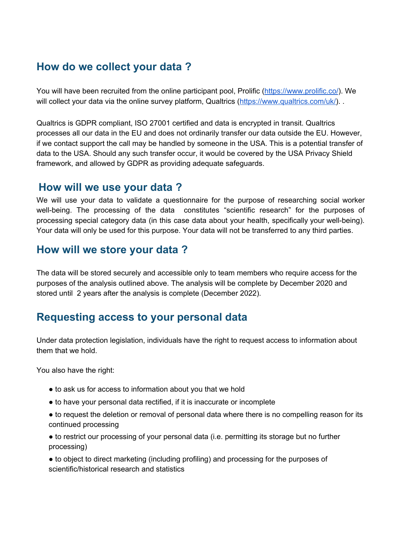## **How do we collect your data ?**

You will have been recruited from the online participant pool, Prolific (<https://www.prolific.co/>). We will collect your data via the online survey platform, Qualtrics (<https://www.qualtrics.com/uk/>).

Qualtrics is GDPR compliant, ISO 27001 certified and data is encrypted in transit. Qualtrics processes all our data in the EU and does not ordinarily transfer our data outside the EU. However, if we contact support the call may be handled by someone in the USA. This is a potential transfer of data to the USA. Should any such transfer occur, it would be covered by the USA Privacy Shield framework, and allowed by GDPR as providing adequate safeguards.

#### **How will we use your data ?**

We will use your data to validate a questionnaire for the purpose of researching social worker well-being. The processing of the data constitutes "scientific research" for the purposes of processing special category data (in this case data about your health, specifically your well-being). Your data will only be used for this purpose. Your data will not be transferred to any third parties.

#### **How will we store your data ?**

The data will be stored securely and accessible only to team members who require access for the purposes of the analysis outlined above. The analysis will be complete by December 2020 and stored until 2 years after the analysis is complete (December 2022).

## **Requesting access to your personal data**

Under data protection legislation, individuals have the right to request access to information about them that we hold.

You also have the right:

- to ask us for access to information about you that we hold
- to have your personal data rectified, if it is inaccurate or incomplete
- to request the deletion or removal of personal data where there is no compelling reason for its continued processing
- to restrict our processing of your personal data (i.e. permitting its storage but no further processing)
- to object to direct marketing (including profiling) and processing for the purposes of scientific/historical research and statistics